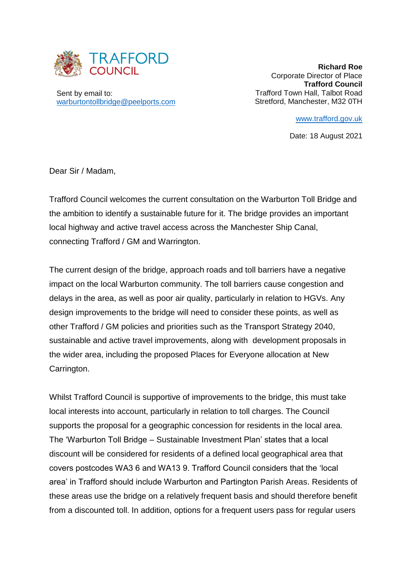

Sent by email to: [warburtontollbridge@peelports.com](mailto:warburtontollbridge@peelports.com)

**Richard Roe**  Corporate Director of Place **Trafford Council** Trafford Town Hall, Talbot Road Stretford, Manchester, M32 0TH

[www.trafford.gov.uk](http://www.trafford.gov.uk/)

Date: 18 August 2021

Dear Sir / Madam,

Trafford Council welcomes the current consultation on the Warburton Toll Bridge and the ambition to identify a sustainable future for it. The bridge provides an important local highway and active travel access across the Manchester Ship Canal, connecting Trafford / GM and Warrington.

The current design of the bridge, approach roads and toll barriers have a negative impact on the local Warburton community. The toll barriers cause congestion and delays in the area, as well as poor air quality, particularly in relation to HGVs. Any design improvements to the bridge will need to consider these points, as well as other Trafford / GM policies and priorities such as the Transport Strategy 2040, sustainable and active travel improvements, along with development proposals in the wider area, including the proposed Places for Everyone allocation at New Carrington.

Whilst Trafford Council is supportive of improvements to the bridge, this must take local interests into account, particularly in relation to toll charges. The Council supports the proposal for a geographic concession for residents in the local area. The 'Warburton Toll Bridge – Sustainable Investment Plan' states that a local discount will be considered for residents of a defined local geographical area that covers postcodes WA3 6 and WA13 9. Trafford Council considers that the 'local area' in Trafford should include Warburton and Partington Parish Areas. Residents of these areas use the bridge on a relatively frequent basis and should therefore benefit from a discounted toll. In addition, options for a frequent users pass for regular users